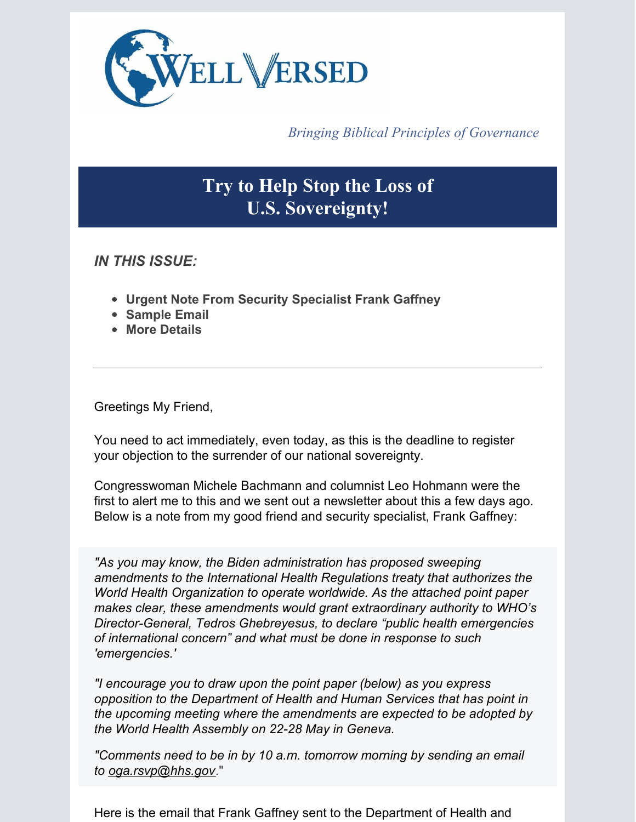

*Bringing Biblical Principles of Governance*

# **Try to Help Stop the Loss of U.S. Sovereignty!**

*IN THIS ISSUE:*

- **Urgent Note From Security Specialist Frank Gaffney**
- **Sample Email**
- **More Details**

Greetings My Friend,

You need to act immediately, even today, as this is the deadline to register your objection to the surrender of our national sovereignty.

Congresswoman Michele Bachmann and columnist Leo Hohmann were the first to alert me to this and we sent out a newsletter about this a few days ago. Below is a note from my good friend and security specialist, Frank Gaffney:

*"As you may know, the Biden administration has proposed sweeping amendments to the International Health Regulations treaty that authorizes the World Health Organization to operate worldwide. As the attached point paper makes clear, these amendments would grant extraordinary authority to WHO's Director-General, Tedros Ghebreyesus, to declare "public health emergencies of international concern" and what must be done in response to such 'emergencies.'*

*"I encourage you to draw upon the point paper (below) as you express opposition to the Department of Health and Human Services that has point in the upcoming meeting where the amendments are expected to be adopted by the World Health Assembly on 22-28 May in Geneva.*

*"Comments need to be in by 10 a.m. tomorrow morning by sending an email to [oga.rsvp@hhs.gov](mailto:oga.rsvp@hhs.gov)*."

Here is the email that Frank Gaffney sent to the Department of Health and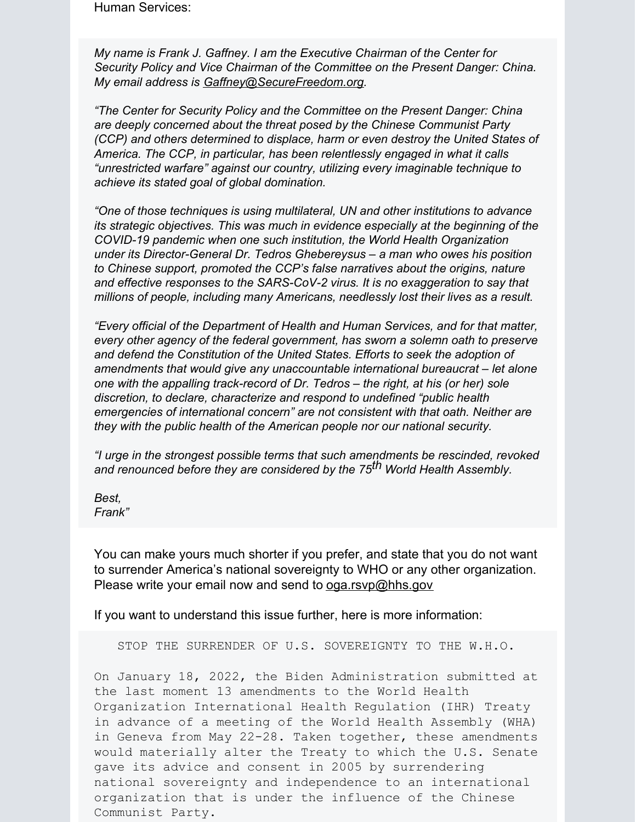Human Services:

*My name is Frank J. Gaffney. I am the Executive Chairman of the Center for Security Policy and Vice Chairman of the Committee on the Present Danger: China. My email address is [Gaffney@SecureFreedom.org](mailto:Gaffney@SecureFreedom.org).*

*"The Center for Security Policy and the Committee on the Present Danger: China are deeply concerned about the threat posed by the Chinese Communist Party (CCP) and others determined to displace, harm or even destroy the United States of America. The CCP, in particular, has been relentlessly engaged in what it calls "unrestricted warfare" against our country, utilizing every imaginable technique to achieve its stated goal of global domination.*

*"One of those techniques is using multilateral, UN and other institutions to advance its strategic objectives. This was much in evidence especially at the beginning of the COVID-19 pandemic when one such institution, the World Health Organization under its Director-General Dr. Tedros Ghebereysus – a man who owes his position to Chinese support, promoted the CCP's false narratives about the origins, nature and effective responses to the SARS-CoV-2 virus. It is no exaggeration to say that millions of people, including many Americans, needlessly lost their lives as a result.*

*"Every official of the Department of Health and Human Services, and for that matter, every other agency of the federal government, has sworn a solemn oath to preserve and defend the Constitution of the United States. Efforts to seek the adoption of amendments that would give any unaccountable international bureaucrat – let alone one with the appalling track-record of Dr. Tedros – the right, at his (or her) sole discretion, to declare, characterize and respond to undefined "public health emergencies of international concern" are not consistent with that oath. Neither are they with the public health of the American people nor our national security.*

*"I urge in the strongest possible terms that such amendments be rescinded, revoked and renounced before they are considered by the 75 th World Health Assembly.*

*Best, Frank"*

You can make yours much shorter if you prefer, and state that you do not want to surrender America's national sovereignty to WHO or any other organization. Please write your email now and send to [oga.rsvp@hhs.gov](mailto:oga.rsvp@hhs.gov)

If you want to understand this issue further, here is more information:

STOP THE SURRENDER OF U.S. SOVEREIGNTY TO THE W.H.O.

On January 18, 2022, the Biden Administration submitted at the last moment 13 amendments to the World Health Organization International Health Regulation (IHR) Treaty in advance of a meeting of the World Health Assembly (WHA) in Geneva from May 22-28. Taken together, these amendments would materially alter the Treaty to which the U.S. Senate gave its advice and consent in 2005 by surrendering national sovereignty and independence to an international organization that is under the influence of the Chinese Communist Party.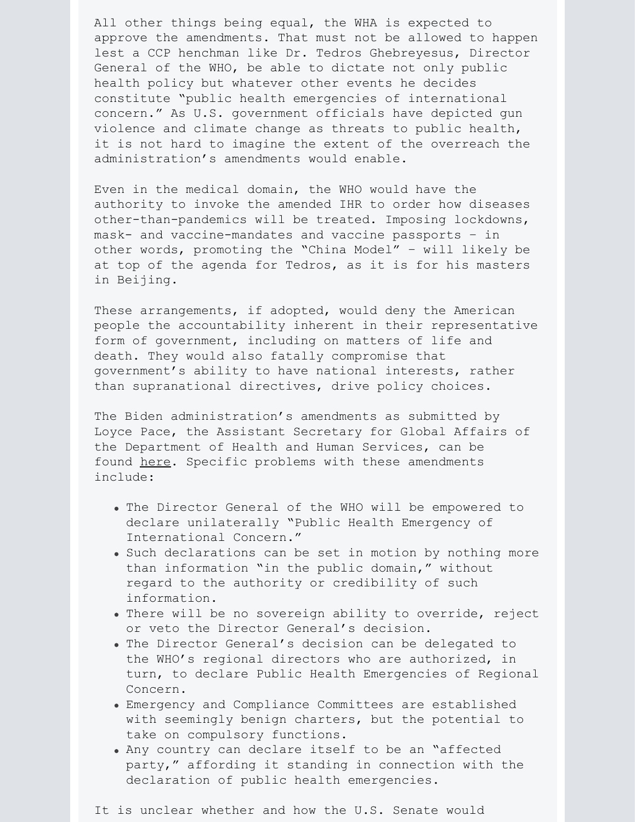All other things being equal, the WHA is expected to approve the amendments. That must not be allowed to happen lest a CCP henchman like Dr. Tedros Ghebreyesus, Director General of the WHO, be able to dictate not only public health policy but whatever other events he decides constitute "public health emergencies of international concern." As U.S. government officials have depicted gun violence and climate change as threats to public health, it is not hard to imagine the extent of the overreach the administration's amendments would enable.

Even in the medical domain, the WHO would have the authority to invoke the amended IHR to order how diseases other-than-pandemics will be treated. Imposing lockdowns, mask- and vaccine-mandates and vaccine passports – in other words, promoting the "China Model" – will likely be at top of the agenda for Tedros, as it is for his masters in Beijing.

These arrangements, if adopted, would deny the American people the accountability inherent in their representative form of government, including on matters of life and death. They would also fatally compromise that government's ability to have national interests, rather than supranational directives, drive policy choices.

The Biden administration's amendments as submitted by Loyce Pace, the Assistant Secretary for Global Affairs of the Department of Health and Human Services, can be found [here](https://apps.who.int/gb/ebwha/pdf_files/WHA75/A75_18-en.pdf). Specific problems with these amendments include:

- The Director General of the WHO will be empowered to declare unilaterally "Public Health Emergency of International Concern."
- . Such declarations can be set in motion by nothing more than information "in the public domain," without regard to the authority or credibility of such information.
- . There will be no sovereign ability to override, reject or veto the Director General's decision.
- . The Director General's decision can be delegated to the WHO's regional directors who are authorized, in turn, to declare Public Health Emergencies of Regional Concern.
- Emergency and Compliance Committees are established with seemingly benign charters, but the potential to take on compulsory functions.
- Any country can declare itself to be an "affected party," affording it standing in connection with the declaration of public health emergencies.

It is unclear whether and how the U.S. Senate would